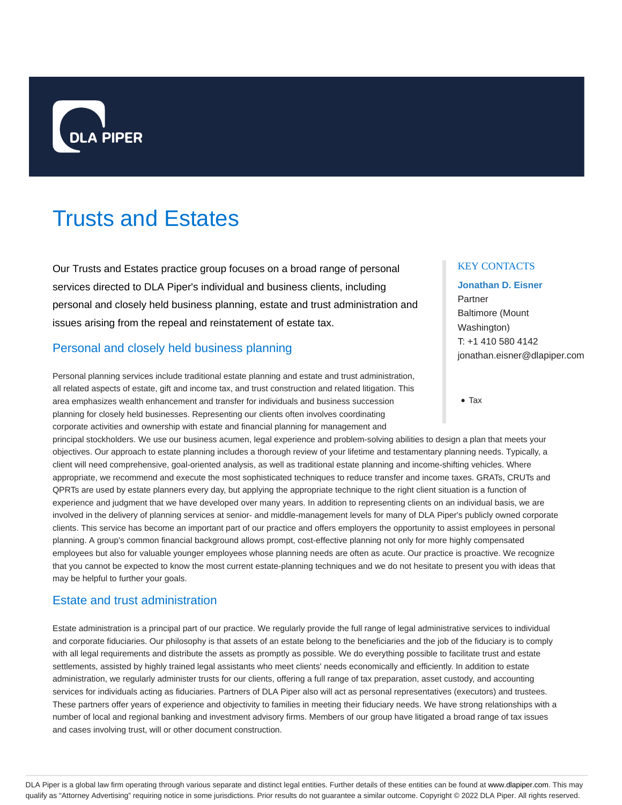

# Trusts and Estates

Our Trusts and Estates practice group focuses on a broad range of personal services directed to DLA Piper's individual and business clients, including personal and closely held business planning, estate and trust administration and issues arising from the repeal and reinstatement of estate tax.

# Personal and closely held business planning

Personal planning services include traditional estate planning and estate and trust administration, all related aspects of estate, gift and income tax, and trust construction and related litigation. This area emphasizes wealth enhancement and transfer for individuals and business succession planning for closely held businesses. Representing our clients often involves coordinating corporate activities and ownership with estate and financial planning for management and

principal stockholders. We use our business acumen, legal experience and problem-solving abilities to design a plan that meets your objectives. Our approach to estate planning includes a thorough review of your lifetime and testamentary planning needs. Typically, a client will need comprehensive, goal-oriented analysis, as well as traditional estate planning and income-shifting vehicles. Where appropriate, we recommend and execute the most sophisticated techniques to reduce transfer and income taxes. GRATs, CRUTs and QPRTs are used by estate planners every day, but applying the appropriate technique to the right client situation is a function of experience and judgment that we have developed over many years. In addition to representing clients on an individual basis, we are involved in the delivery of planning services at senior- and middle-management levels for many of DLA Piper's publicly owned corporate clients. This service has become an important part of our practice and offers employers the opportunity to assist employees in personal planning. A group's common financial background allows prompt, cost-effective planning not only for more highly compensated employees but also for valuable younger employees whose planning needs are often as acute. Our practice is proactive. We recognize that you cannot be expected to know the most current estate-planning techniques and we do not hesitate to present you with ideas that may be helpful to further your goals.

## Estate and trust administration

Estate administration is a principal part of our practice. We regularly provide the full range of legal administrative services to individual and corporate fiduciaries. Our philosophy is that assets of an estate belong to the beneficiaries and the job of the fiduciary is to comply with all legal requirements and distribute the assets as promptly as possible. We do everything possible to facilitate trust and estate settlements, assisted by highly trained legal assistants who meet clients' needs economically and efficiently. In addition to estate administration, we regularly administer trusts for our clients, offering a full range of tax preparation, asset custody, and accounting services for individuals acting as fiduciaries. Partners of DLA Piper also will act as personal representatives (executors) and trustees. These partners offer years of experience and objectivity to families in meeting their fiduciary needs. We have strong relationships with a number of local and regional banking and investment advisory firms. Members of our group have litigated a broad range of tax issues and cases involving trust, will or other document construction.

#### KEY CONTACTS

# **Jonathan D. Eisner** Partner Baltimore (Mount Washington) T: +1 410 580 4142 jonathan.eisner@dlapiper.com

Tax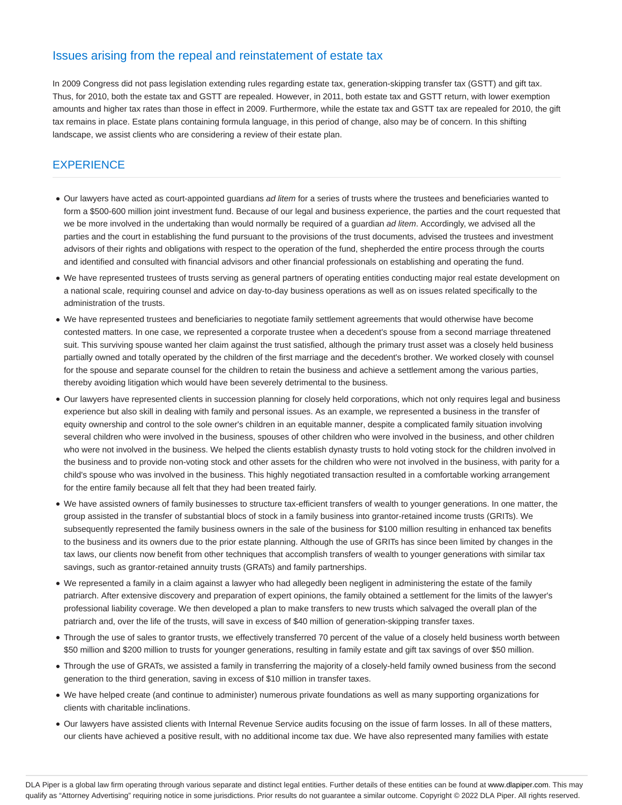## Issues arising from the repeal and reinstatement of estate tax

In 2009 Congress did not pass legislation extending rules regarding estate tax, generation-skipping transfer tax (GSTT) and gift tax. Thus, for 2010, both the estate tax and GSTT are repealed. However, in 2011, both estate tax and GSTT return, with lower exemption amounts and higher tax rates than those in effect in 2009. Furthermore, while the estate tax and GSTT tax are repealed for 2010, the gift tax remains in place. Estate plans containing formula language, in this period of change, also may be of concern. In this shifting landscape, we assist clients who are considering a review of their estate plan.

# **EXPERIENCE**

- Our lawyers have acted as court-appointed guardians ad litem for a series of trusts where the trustees and beneficiaries wanted to form a \$500-600 million joint investment fund. Because of our legal and business experience, the parties and the court requested that we be more involved in the undertaking than would normally be required of a guardian ad litem. Accordingly, we advised all the parties and the court in establishing the fund pursuant to the provisions of the trust documents, advised the trustees and investment advisors of their rights and obligations with respect to the operation of the fund, shepherded the entire process through the courts and identified and consulted with financial advisors and other financial professionals on establishing and operating the fund.
- We have represented trustees of trusts serving as general partners of operating entities conducting major real estate development on a national scale, requiring counsel and advice on day-to-day business operations as well as on issues related specifically to the administration of the trusts.
- We have represented trustees and beneficiaries to negotiate family settlement agreements that would otherwise have become contested matters. In one case, we represented a corporate trustee when a decedent's spouse from a second marriage threatened suit. This surviving spouse wanted her claim against the trust satisfied, although the primary trust asset was a closely held business partially owned and totally operated by the children of the first marriage and the decedent's brother. We worked closely with counsel for the spouse and separate counsel for the children to retain the business and achieve a settlement among the various parties, thereby avoiding litigation which would have been severely detrimental to the business.
- Our lawyers have represented clients in succession planning for closely held corporations, which not only requires legal and business experience but also skill in dealing with family and personal issues. As an example, we represented a business in the transfer of equity ownership and control to the sole owner's children in an equitable manner, despite a complicated family situation involving several children who were involved in the business, spouses of other children who were involved in the business, and other children who were not involved in the business. We helped the clients establish dynasty trusts to hold voting stock for the children involved in the business and to provide non-voting stock and other assets for the children who were not involved in the business, with parity for a child's spouse who was involved in the business. This highly negotiated transaction resulted in a comfortable working arrangement for the entire family because all felt that they had been treated fairly.
- We have assisted owners of family businesses to structure tax-efficient transfers of wealth to younger generations. In one matter, the group assisted in the transfer of substantial blocs of stock in a family business into grantor-retained income trusts (GRITs). We subsequently represented the family business owners in the sale of the business for \$100 million resulting in enhanced tax benefits to the business and its owners due to the prior estate planning. Although the use of GRITs has since been limited by changes in the tax laws, our clients now benefit from other techniques that accomplish transfers of wealth to younger generations with similar tax savings, such as grantor-retained annuity trusts (GRATs) and family partnerships.
- We represented a family in a claim against a lawyer who had allegedly been negligent in administering the estate of the family patriarch. After extensive discovery and preparation of expert opinions, the family obtained a settlement for the limits of the lawyer's professional liability coverage. We then developed a plan to make transfers to new trusts which salvaged the overall plan of the patriarch and, over the life of the trusts, will save in excess of \$40 million of generation-skipping transfer taxes.
- Through the use of sales to grantor trusts, we effectively transferred 70 percent of the value of a closely held business worth between \$50 million and \$200 million to trusts for younger generations, resulting in family estate and gift tax savings of over \$50 million.
- Through the use of GRATs, we assisted a family in transferring the majority of a closely-held family owned business from the second generation to the third generation, saving in excess of \$10 million in transfer taxes.
- We have helped create (and continue to administer) numerous private foundations as well as many supporting organizations for clients with charitable inclinations.
- Our lawyers have assisted clients with Internal Revenue Service audits focusing on the issue of farm losses. In all of these matters, our clients have achieved a positive result, with no additional income tax due. We have also represented many families with estate